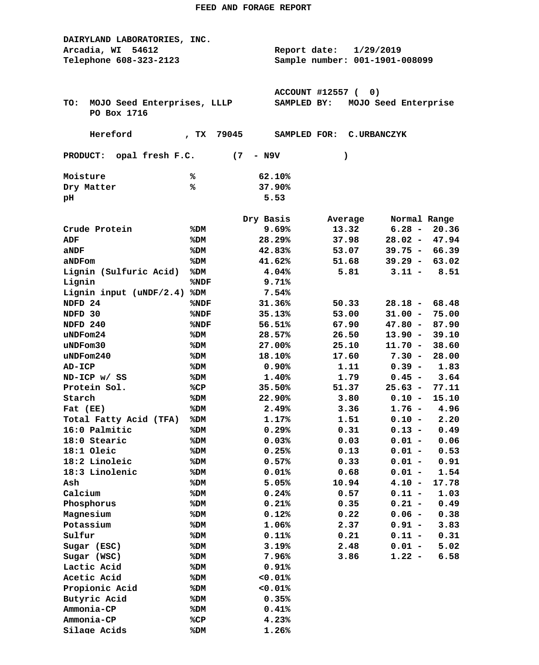| DAIRYLAND LABORATORIES, INC.       |                                |                  |                  |  |                    |                      |              |
|------------------------------------|--------------------------------|------------------|------------------|--|--------------------|----------------------|--------------|
| Arcadia, WI<br>54612               | Report date:                   |                  | 1/29/2019        |  |                    |                      |              |
| Telephone 608-323-2123             | Sample number: 001-1901-008099 |                  |                  |  |                    |                      |              |
|                                    |                                |                  |                  |  |                    |                      |              |
|                                    |                                |                  |                  |  |                    |                      |              |
|                                    |                                |                  | ACCOUNT #12557 ( |  | 0)                 |                      |              |
| MOJO Seed Enterprises, LLLP<br>TO: |                                |                  | SAMPLED BY:      |  |                    | MOJO Seed Enterprise |              |
| PO Box 1716                        |                                |                  |                  |  |                    |                      |              |
|                                    |                                |                  |                  |  |                    |                      |              |
| Hereford                           | 79045<br>$T^{\mathbf{X}}$      |                  | SAMPLED FOR:     |  | <b>C.URBANCZYK</b> |                      |              |
|                                    |                                |                  |                  |  |                    |                      |              |
| PRODUCT: opal fresh F.C.           | (7)                            | - N9V            |                  |  | $\lambda$          |                      |              |
| Moisture                           | ℁                              |                  |                  |  |                    |                      |              |
| Dry Matter                         | ℁                              | 62.10%<br>37.90% |                  |  |                    |                      |              |
|                                    |                                | 5.53             |                  |  |                    |                      |              |
| pН                                 |                                |                  |                  |  |                    |                      |              |
|                                    |                                | Dry Basis        |                  |  | Average            |                      | Normal Range |
| Crude Protein                      | %DM                            |                  | 9.69%            |  | 13.32              | $6.28 -$             | 20.36        |
| ADF                                | %DM                            |                  | 28.29%           |  | 37.98              | $28.02 -$            | 47.94        |
| aNDF                               | %DM                            |                  | 42.83%           |  | 53.07              | $39.75 -$            | 66.39        |
| aNDFom                             | %DM                            |                  | 41.62%           |  | 51.68              | $39.29 -$            | 63.02        |
| Lignin (Sulfuric Acid)             | %DM                            |                  | 4.04%            |  | 5.81               | $3.11 -$             | 8.51         |
| Lignin                             | %NDF                           |                  | 9.71%            |  |                    |                      |              |
| Lignin input $(uNDF/2.4)$          | %DM                            |                  | 7.54%            |  |                    |                      |              |
| NDFD 24                            | %NDF                           |                  | 31.36%           |  | 50.33              | $28.18 -$            | 68.48        |
| NDFD 30                            | %NDF                           |                  | 35.13%           |  | 53.00              | $31.00 -$            | 75.00        |
| NDFD 240                           | %NDF                           |                  | 56.51%           |  | 67.90              | $47.80 -$            | 87.90        |
| uNDFom24                           | %DM                            |                  | 28.57%           |  | 26.50              | $13.90 -$            | 39.10        |
| uNDFom30                           | %DM                            |                  | 27.00%           |  | 25.10              | $11.70 -$            | 38.60        |
| $u$ NDF $om240$                    | %DM                            |                  | 18.10%           |  | 17.60              | $7.30 -$             | 28.00        |
| <b>AD-ICP</b>                      | %DM                            |                  | 0.90%            |  | 1.11               | $0.39 -$             | 1.83         |
| ND-ICP w/ SS                       | %DM                            |                  | 1.40%            |  | 1.79               | $0.45 -$             | 3.64         |
| Protein Sol.                       | %CP                            |                  | 35.50%           |  | 51.37              | $25.63 -$            | 77.11        |
| Starch                             | %DM                            |                  | 22.90%           |  | 3.80               | $0.10 -$             | 15.10        |
| Fat (EE)                           | %DM                            |                  | 2.49%            |  | 3.36               | $1.76 -$             | 4.96         |
| Total Fatty Acid (TFA)             | %DM                            |                  | 1.17%            |  | 1.51               | $0.10 -$             | 2.20         |
| 16:0 Palmitic                      | %DM                            |                  | 0.29%            |  | 0.31               | $0.13 -$             | 0.49         |
| 18:0 Stearic                       | %DM                            |                  |                  |  | 0.03               | $0.01 -$             | 0.06         |
| 18:1 Oleic                         | %DM                            | 0.03%<br>0.25%   |                  |  | 0.13               | $0.01 -$             | 0.53         |
| 18:2 Linoleic                      | %DM                            |                  | 0.57%            |  | 0.33               | $0.01 -$             | 0.91         |
| 18:3 Linolenic                     | %DM                            |                  | 0.01%            |  | 0.68               | $0.01 -$             | 1.54         |
| Ash                                | %DM                            |                  | 5.05%            |  | 10.94              | $4.10 -$             | 17.78        |
| Calcium                            | %DM                            |                  | 0.24%            |  | 0.57               | $0.11 -$             | 1.03         |
| Phosphorus                         | %DM                            |                  | 0.21%            |  | 0.35               | $0.21 -$             | 0.49         |
| Magnesium                          | %DM                            |                  | 0.12%            |  | 0.22               | $0.06 -$             | 0.38         |
| Potassium                          | %DM                            |                  | 1.06%            |  | 2.37               | $0.91 -$             | 3.83         |
| Sulfur                             | %DM                            |                  | 0.11%            |  | 0.21               | $0.11 -$             | 0.31         |
|                                    | %DM                            |                  | 3.19%            |  | 2.48               | $0.01 -$             | 5.02         |
| Sugar (ESC)<br>Sugar (WSC)         | %DM                            |                  | 7.96%            |  | 3.86               | $1.22 -$             | 6.58         |
|                                    |                                |                  |                  |  |                    |                      |              |
| Lactic Acid                        | %DM                            |                  | 0.91%            |  |                    |                      |              |
| Acetic Acid                        | %DM                            |                  | 0.01%            |  |                    |                      |              |
| Propionic Acid                     | %DM                            |                  | 0.01%            |  |                    |                      |              |
| Butyric Acid                       | %DM                            |                  | 0.35%            |  |                    |                      |              |
| Ammonia-CP                         | %DM                            |                  | 0.41%            |  |                    |                      |              |
| Ammonia-CP                         | %CP                            |                  | 4.23%            |  |                    |                      |              |
| Silage Acids                       | %DM                            |                  | 1.26%            |  |                    |                      |              |